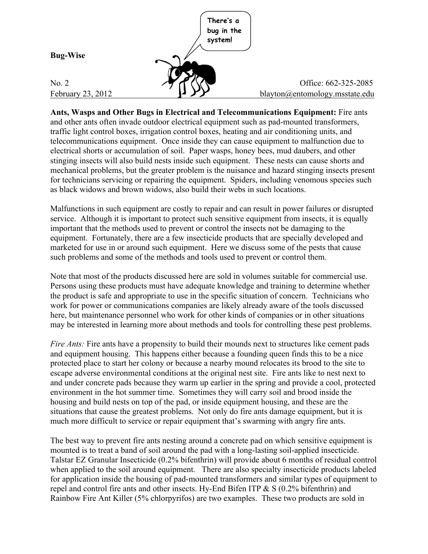

**Ants, Wasps and Other Bugs in Electrical and Telecommunications Equipment:** Fire ants and other ants often invade outdoor electrical equipment such as pad-mounted transformers, traffic light control boxes, irrigation control boxes, heating and air conditioning units, and telecommunications equipment. Once inside they can cause equipment to malfunction due to electrical shorts or accumulation of soil. Paper wasps, honey bees, mud daubers, and other stinging insects will also build nests inside such equipment. These nests can cause shorts and mechanical problems, but the greater problem is the nuisance and hazard stinging insects present for technicians servicing or repairing the equipment. Spiders, including venomous species such as black widows and brown widows, also build their webs in such locations.

Malfunctions in such equipment are costly to repair and can result in power failures or disrupted service. Although it is important to protect such sensitive equipment from insects, it is equally important that the methods used to prevent or control the insects not be damaging to the equipment. Fortunately, there are a few insecticide products that are specially developed and marketed for use in or around such equipment. Here we discuss some of the pests that cause such problems and some of the methods and tools used to prevent or control them.

Note that most of the products discussed here are sold in volumes suitable for commercial use. Persons using these products must have adequate knowledge and training to determine whether the product is safe and appropriate to use in the specific situation of concern. Technicians who work for power or communications companies are likely already aware of the tools discussed here, but maintenance personnel who work for other kinds of companies or in other situations may be interested in learning more about methods and tools for controlling these pest problems.

*Fire Ants:* Fire ants have a propensity to build their mounds next to structures like cement pads and equipment housing. This happens either because a founding queen finds this to be a nice protected place to start her colony or because a nearby mound relocates its brood to the site to escape adverse environmental conditions at the original nest site. Fire ants like to nest next to and under concrete pads because they warm up earlier in the spring and provide a cool, protected environment in the hot summer time. Sometimes they will carry soil and brood inside the housing and build nests on top of the pad, or inside equipment housing, and these are the situations that cause the greatest problems. Not only do fire ants damage equipment, but it is much more difficult to service or repair equipment that's swarming with angry fire ants.

The best way to prevent fire ants nesting around a concrete pad on which sensitive equipment is mounted is to treat a band of soil around the pad with a long-lasting soil-applied insecticide. Talstar EZ Granular Insecticide (0.2% bifenthrin) will provide about 6 months of residual control when applied to the soil around equipment. There are also specialty insecticide products labeled for application inside the housing of pad-mounted transformers and similar types of equipment to repel and control fire ants and other insects. Hy-End Bifen ITP & S (0.2% bifenthrin) and Rainbow Fire Ant Killer (5% chlorpyrifos) are two examples. These two products are sold in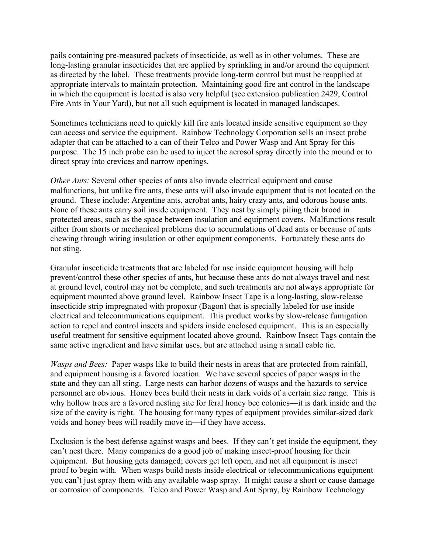pails containing pre-measured packets of insecticide, as well as in other volumes. These are long-lasting granular insecticides that are applied by sprinkling in and/or around the equipment as directed by the label. These treatments provide long-term control but must be reapplied at appropriate intervals to maintain protection. Maintaining good fire ant control in the landscape in which the equipment is located is also very helpful (see extension publication 2429, Control Fire Ants in Your Yard), but not all such equipment is located in managed landscapes.

Sometimes technicians need to quickly kill fire ants located inside sensitive equipment so they can access and service the equipment. Rainbow Technology Corporation sells an insect probe adapter that can be attached to a can of their Telco and Power Wasp and Ant Spray for this purpose. The 15 inch probe can be used to inject the aerosol spray directly into the mound or to direct spray into crevices and narrow openings.

*Other Ants:* Several other species of ants also invade electrical equipment and cause malfunctions, but unlike fire ants, these ants will also invade equipment that is not located on the ground. These include: Argentine ants, acrobat ants, hairy crazy ants, and odorous house ants. None of these ants carry soil inside equipment. They nest by simply piling their brood in protected areas, such as the space between insulation and equipment covers. Malfunctions result either from shorts or mechanical problems due to accumulations of dead ants or because of ants chewing through wiring insulation or other equipment components. Fortunately these ants do not sting.

Granular insecticide treatments that are labeled for use inside equipment housing will help prevent/control these other species of ants, but because these ants do not always travel and nest at ground level, control may not be complete, and such treatments are not always appropriate for equipment mounted above ground level. Rainbow Insect Tape is a long-lasting, slow-release insecticide strip impregnated with propoxur (Bagon) that is specially labeled for use inside electrical and telecommunications equipment. This product works by slow-release fumigation action to repel and control insects and spiders inside enclosed equipment. This is an especially useful treatment for sensitive equipment located above ground. Rainbow Insect Tags contain the same active ingredient and have similar uses, but are attached using a small cable tie.

*Wasps and Bees:* Paper wasps like to build their nests in areas that are protected from rainfall, and equipment housing is a favored location. We have several species of paper wasps in the state and they can all sting. Large nests can harbor dozens of wasps and the hazards to service personnel are obvious. Honey bees build their nests in dark voids of a certain size range. This is why hollow trees are a favored nesting site for feral honey bee colonies—it is dark inside and the size of the cavity is right. The housing for many types of equipment provides similar-sized dark voids and honey bees will readily move in—if they have access.

Exclusion is the best defense against wasps and bees. If they can't get inside the equipment, they can't nest there. Many companies do a good job of making insect-proof housing for their equipment. But housing gets damaged; covers get left open, and not all equipment is insect proof to begin with. When wasps build nests inside electrical or telecommunications equipment you can't just spray them with any available wasp spray. It might cause a short or cause damage or corrosion of components. Telco and Power Wasp and Ant Spray, by Rainbow Technology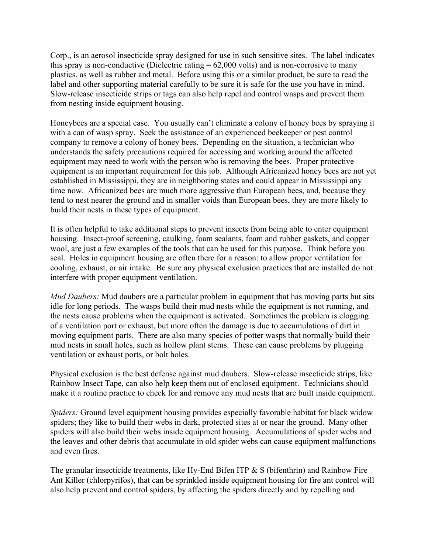Corp., is an aerosol insecticide spray designed for use in such sensitive sites. The label indicates this spray is non-conductive (Dielectric rating  $= 62,000$  volts) and is non-corrosive to many plastics, as well as rubber and metal. Before using this or a similar product, be sure to read the label and other supporting material carefully to be sure it is safe for the use you have in mind. Slow-release insecticide strips or tags can also help repel and control wasps and prevent them from nesting inside equipment housing.

Honeybees are a special case. You usually can't eliminate a colony of honey bees by spraying it with a can of wasp spray. Seek the assistance of an experienced beekeeper or pest control company to remove a colony of honey bees. Depending on the situation, a technician who understands the safety precautions required for accessing and working around the affected equipment may need to work with the person who is removing the bees. Proper protective equipment is an important requirement for this job. Although Africanized honey bees are not yet established in Mississippi, they are in neighboring states and could appear in Mississippi any time now. Africanized bees are much more aggressive than European bees, and, because they tend to nest nearer the ground and in smaller voids than European bees, they are more likely to build their nests in these types of equipment.

It is often helpful to take additional steps to prevent insects from being able to enter equipment housing. Insect-proof screening, caulking, foam sealants, foam and rubber gaskets, and copper wool, are just a few examples of the tools that can be used for this purpose. Think before you seal. Holes in equipment housing are often there for a reason: to allow proper ventilation for cooling, exhaust, or air intake. Be sure any physical exclusion practices that are installed do not interfere with proper equipment ventilation.

*Mud Daubers:* Mud daubers are a particular problem in equipment that has moving parts but sits idle for long periods. The wasps build their mud nests while the equipment is not running, and the nests cause problems when the equipment is activated. Sometimes the problem is clogging of a ventilation port or exhaust, but more often the damage is due to accumulations of dirt in moving equipment parts. There are also many species of potter wasps that normally build their mud nests in small holes, such as hollow plant stems. These can cause problems by plugging ventilation or exhaust ports, or bolt holes.

Physical exclusion is the best defense against mud daubers. Slow-release insecticide strips, like Rainbow Insect Tape, can also help keep them out of enclosed equipment. Technicians should make it a routine practice to check for and remove any mud nests that are built inside equipment.

*Spiders:* Ground level equipment housing provides especially favorable habitat for black widow spiders; they like to build their webs in dark, protected sites at or near the ground. Many other spiders will also build their webs inside equipment housing. Accumulations of spider webs and the leaves and other debris that accumulate in old spider webs can cause equipment malfunctions and even fires.

The granular insecticide treatments, like Hy-End Bifen ITP & S (bifenthrin) and Rainbow Fire Ant Killer (chlorpyrifos), that can be sprinkled inside equipment housing for fire ant control will also help prevent and control spiders, by affecting the spiders directly and by repelling and